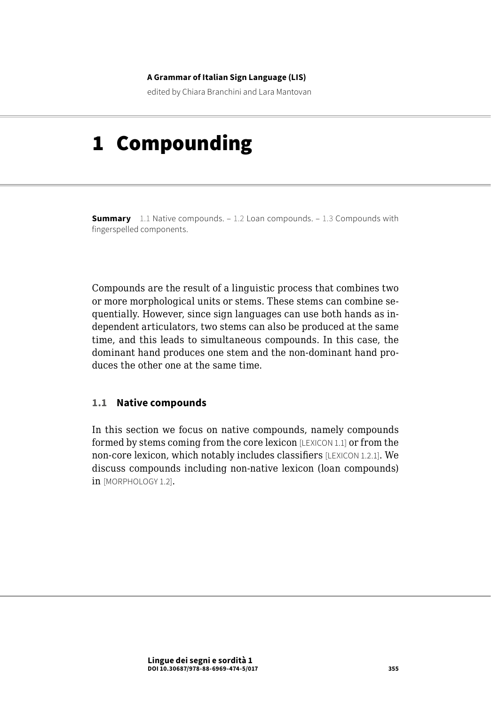#### **A Grammar of Italian Sign Language (LIS)**

edited by Chiara Branchini and Lara Mantovan

# 1 Compounding

**Summary** 1.1 Native compounds. – [1.2 Loan compounds.](#page-14-0) – 1.3 Compounds with [fingerspelled components](#page-15-0).

Compounds are the result of a linguistic process that combines two or more morphological units or stems. These stems can combine sequentially. However, since sign languages can use both hands as independent articulators, two stems can also be produced at the same time, and this leads to simultaneous compounds. In this case, the dominant hand produces one stem and the non-dominant hand produces the other one at the same time.

#### **1.1 Native compounds**

In this section we focus on native compounds, namely compounds formed by stems coming from the core lexicon [LEXICON 1.1] or from the non-core lexicon, which notably includes classifiers [LEXICON 1.2.1]. We discuss compounds including non-native lexicon (loan compounds) in [MORPHOLOGY 1.2].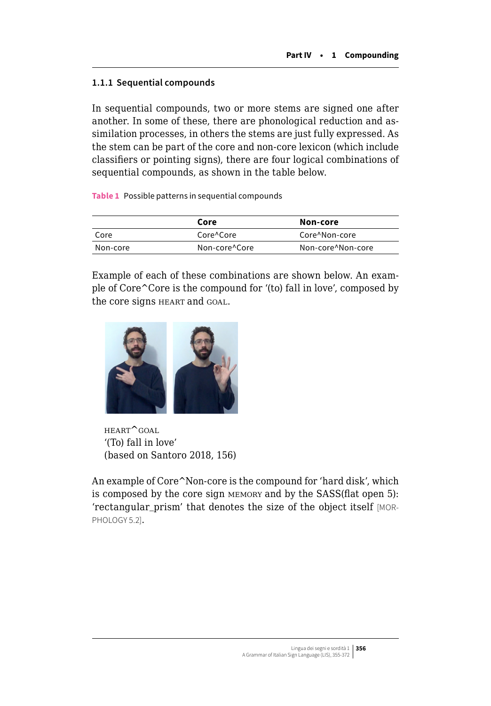#### **1.1.1 Sequential compounds**

In sequential compounds, two or more stems are signed one after another. In some of these, there are phonological reduction and assimilation processes, in others the stems are just fully expressed. As the stem can be part of the core and non-core lexicon (which include classifiers or pointing signs), there are four logical combinations of sequential compounds, as shown in the table below.

**Table 1** Possible patterns in sequential compounds

|          | Core          | Non-core          |
|----------|---------------|-------------------|
| Core     | Core^Core     | Core^Non-core     |
| Non-core | Non-core^Core | Non-core^Non-core |

Example of each of these combinations are shown below. An example of Core^Core is the compound for '(to) fall in love', composed by the core signs HEART and GOAL.



heart^goal '(To) fall in love' (based on Santoro 2018, 156)

An example of Core^Non-core is the compound for 'hard disk', which is composed by the core sign memory and by the SASS(flat open 5): 'rectangular\_prism' that denotes the size of the object itself [MOR-PHOLOGY 5.2].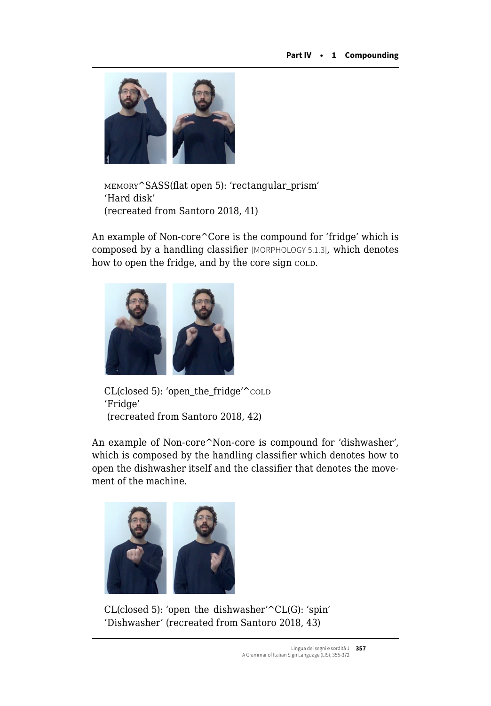

memory^SASS(flat open 5): 'rectangular\_prism' 'Hard disk' (recreated from Santoro 2018, 41)

An example of Non-core^Core is the compound for 'fridge' which is composed by a handling classifier [MORPHOLOGY 5.1.3], which denotes how to open the fridge, and by the core sign cold.



CL(closed 5): 'open the fridge'<sup>^</sup>cold 'Fridge' (recreated from Santoro 2018, 42)

An example of Non-core^Non-core is compound for 'dishwasher', which is composed by the handling classifier which denotes how to open the dishwasher itself and the classifier that denotes the movement of the machine.



CL(closed 5): 'open\_the\_dishwasher'^CL(G): 'spin' 'Dishwasher' (recreated from Santoro 2018, 43)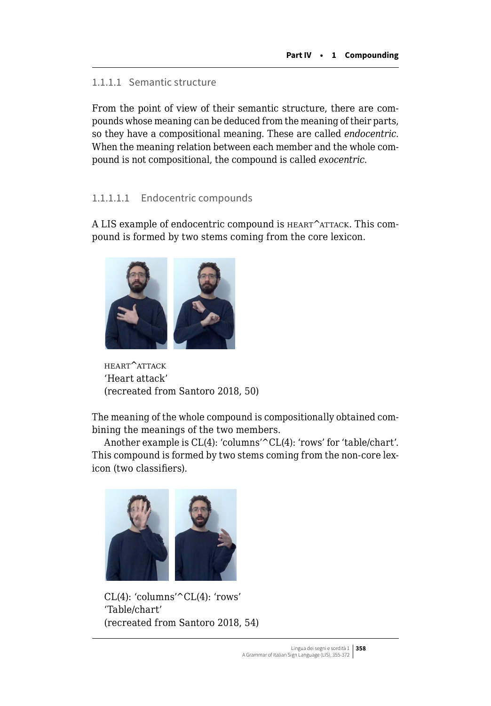#### 1.1.1.1 Semantic structure

From the point of view of their semantic structure, there are compounds whose meaning can be deduced from the meaning of their parts, so they have a compositional meaning. These are called *endocentric*. When the meaning relation between each member and the whole compound is not compositional, the compound is called *exocentric*.

#### 1.1.1.1.1 Endocentric compounds

A LIS example of endocentric compound is HEART^ATTACK. This compound is formed by two stems coming from the core lexicon.



heart^attack 'Heart attack' (recreated from Santoro 2018, 50)

The meaning of the whole compound is compositionally obtained combining the meanings of the two members.

Another example is CL(4): 'columns'^CL(4): 'rows' for 'table/chart'. This compound is formed by two stems coming from the non-core lexicon (two classifiers).



CL(4): 'columns'^CL(4): 'rows' 'Table/chart' (recreated from Santoro 2018, 54)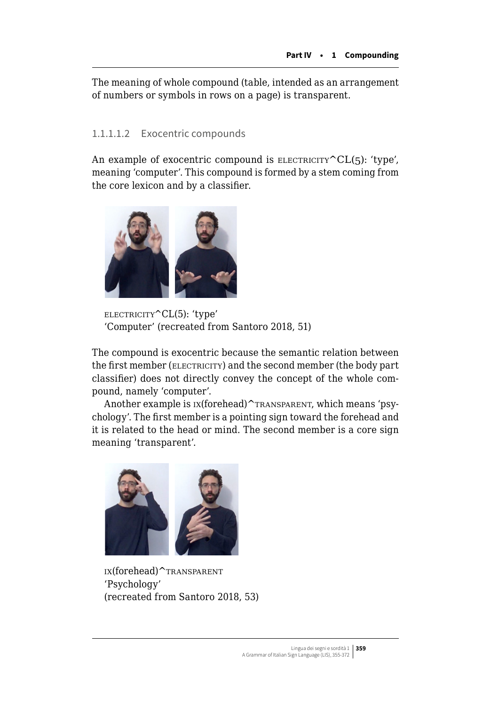The meaning of whole compound (table, intended as an arrangement of numbers or symbols in rows on a page) is transparent.

# 1.1.1.1.2 Exocentric compounds

An example of exocentric compound is ELECTRICITY  $CL(5)$ : 'type', meaning 'computer'. This compound is formed by a stem coming from the core lexicon and by a classifier.



electricity^CL(5): 'type' 'Computer' (recreated from Santoro 2018, 51)

The compound is exocentric because the semantic relation between the first member (ELECTRICITY) and the second member (the body part classifier) does not directly convey the concept of the whole compound, namely 'computer'.

Another example is  $ix(forehead)^{\frown}$ TRANSPARENT, which means 'psychology'. The first member is a pointing sign toward the forehead and it is related to the head or mind. The second member is a core sign meaning 'transparent'.



ix(forehead)^transparent 'Psychology' (recreated from Santoro 2018, 53)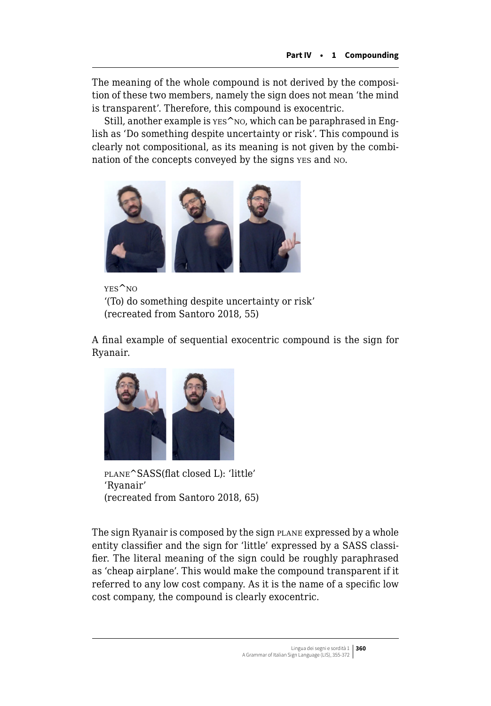The meaning of the whole compound is not derived by the composition of these two members, namely the sign does not mean 'the mind is transparent'. Therefore, this compound is exocentric.

Still, another example is  $YES^N$ NO, which can be paraphrased in English as 'Do something despite uncertainty or risk'. This compound is clearly not compositional, as its meaning is not given by the combination of the concepts conveyed by the signs yes and no.



yes^no '(To) do something despite uncertainty or risk' (recreated from Santoro 2018, 55)

A final example of sequential exocentric compound is the sign for Ryanair.



plane^SASS(flat closed L): 'little' 'Ryanair' (recreated from Santoro 2018, 65)

The sign Ryanair is composed by the sign PLANE expressed by a whole entity classifier and the sign for 'little' expressed by a SASS classifier. The literal meaning of the sign could be roughly paraphrased as 'cheap airplane'. This would make the compound transparent if it referred to any low cost company. As it is the name of a specific low cost company, the compound is clearly exocentric.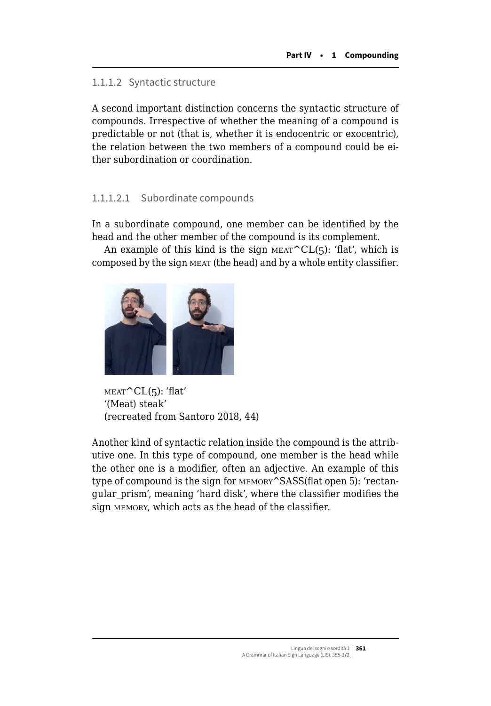#### 1.1.1.2 Syntactic structure

A second important distinction concerns the syntactic structure of compounds. Irrespective of whether the meaning of a compound is predictable or not (that is, whether it is endocentric or exocentric), the relation between the two members of a compound could be either subordination or coordination.

#### 1.1.1.2.1 Subordinate compounds

In a subordinate compound, one member can be identified by the head and the other member of the compound is its complement.

An example of this kind is the sign  $M_{\text{EAT}}^{\text{CL}}(5)$ : 'flat', which is composed by the sign meat (the head) and by a whole entity classifier.



 $MEAT^CL(5)$ : 'flat' '(Meat) steak' (recreated from Santoro 2018, 44)

Another kind of syntactic relation inside the compound is the attributive one. In this type of compound, one member is the head while the other one is a modifier, often an adjective. An example of this type of compound is the sign for memory^SASS(flat open 5): 'rectangular\_prism', meaning 'hard disk', where the classifier modifies the sign memory, which acts as the head of the classifier.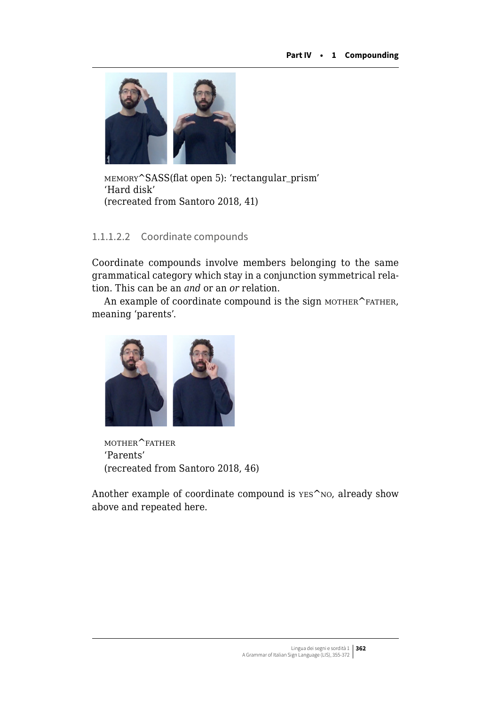

memory^SASS(flat open 5): 'rectangular\_prism' 'Hard disk' (recreated from Santoro 2018, 41)

# 1.1.1.2.2 Coordinate compounds

Coordinate compounds involve members belonging to the same grammatical category which stay in a conjunction symmetrical relation. This can be an *and* or an *or* relation.

An example of coordinate compound is the sign MOTHER^FATHER, meaning 'parents'.



mother^father 'Parents' (recreated from Santoro 2018, 46)

Another example of coordinate compound is  $\text{Yes}^n$  no, already show above and repeated here.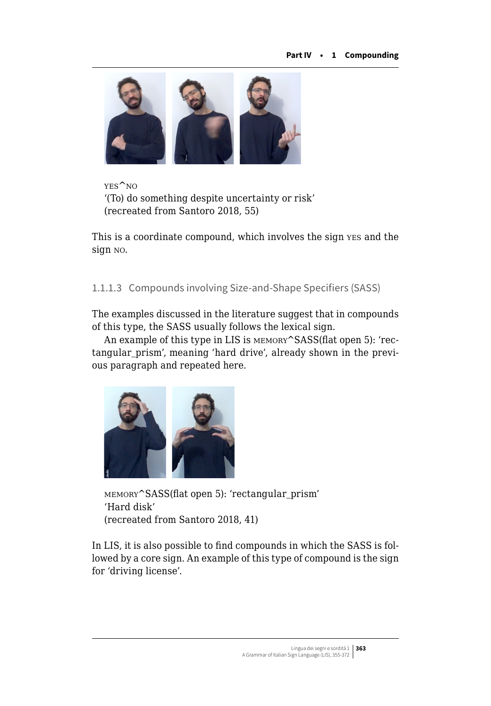

yes^no '(To) do something despite uncertainty or risk' (recreated from Santoro 2018, 55)

This is a coordinate compound, which involves the sign yes and the sign no.

1.1.1.3 Compounds involving Size-and-Shape Specifiers (SASS)

The examples discussed in the literature suggest that in compounds of this type, the SASS usually follows the lexical sign.

An example of this type in LIS is  $MENORY$ <sup>SASS</sup>(flat open 5): 'rectangular\_prism', meaning 'hard drive', already shown in the previous paragraph and repeated here.



memory^SASS(flat open 5): 'rectangular\_prism' 'Hard disk' (recreated from Santoro 2018, 41)

In LIS, it is also possible to find compounds in which the SASS is followed by a core sign. An example of this type of compound is the sign for 'driving license'.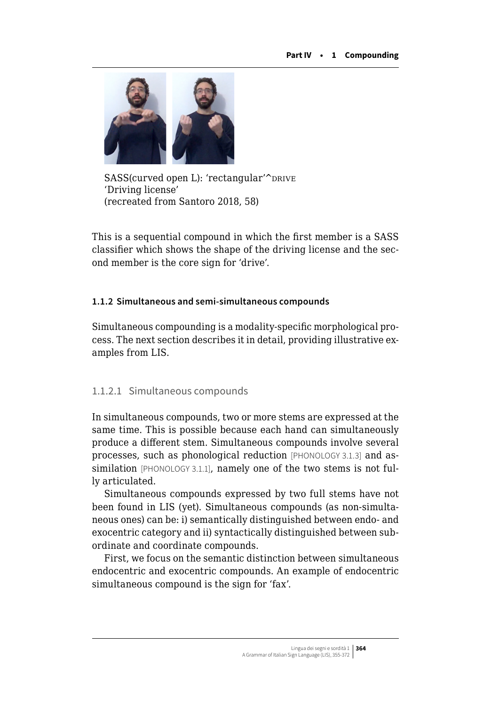

SASS(curved open L): 'rectangular'^pRIVE 'Driving license' (recreated from Santoro 2018, 58)

This is a sequential compound in which the first member is a SASS classifier which shows the shape of the driving license and the second member is the core sign for 'drive'.

#### **1.1.2 Simultaneous and semi-simultaneous compounds**

Simultaneous compounding is a modality-specific morphological process. The next section describes it in detail, providing illustrative examples from LIS.

#### 1.1.2.1 Simultaneous compounds

In simultaneous compounds, two or more stems are expressed at the same time. This is possible because each hand can simultaneously produce a different stem. Simultaneous compounds involve several processes, such as phonological reduction [PHONOLOGY 3.1.3] and assimilation [PHONOLOGY 3.1.1], namely one of the two stems is not fully articulated.

Simultaneous compounds expressed by two full stems have not been found in LIS (yet). Simultaneous compounds (as non-simultaneous ones) can be: i) semantically distinguished between endo- and exocentric category and ii) syntactically distinguished between subordinate and coordinate compounds.

First, we focus on the semantic distinction between simultaneous endocentric and exocentric compounds. An example of endocentric simultaneous compound is the sign for 'fax'.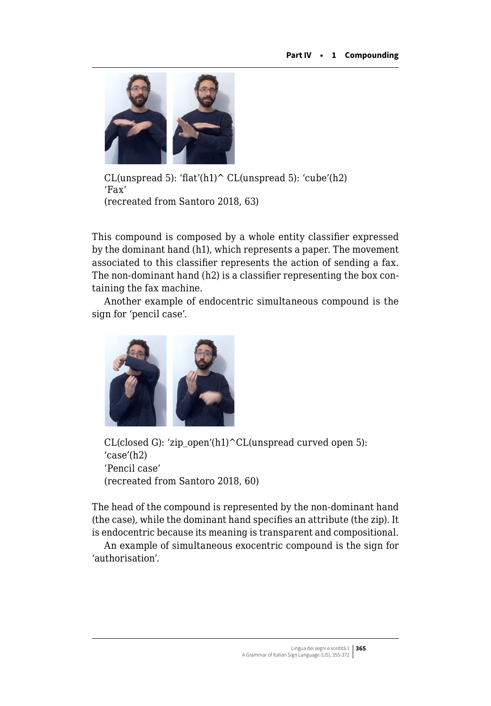

CL(unspread 5): 'flat'(h1) $\hat{C}$ CL(unspread 5): 'cube'(h2) 'Fax' (recreated from Santoro 2018, 63)

This compound is composed by a whole entity classifier expressed by the dominant hand (h1), which represents a paper. The movement associated to this classifier represents the action of sending a fax. The non-dominant hand (h2) is a classifier representing the box containing the fax machine.

Another example of endocentric simultaneous compound is the sign for 'pencil case'.



CL(closed G): 'zip\_open'(h1)^CL(unspread curved open 5): 'case'(h2) 'Pencil case' (recreated from Santoro 2018, 60)

The head of the compound is represented by the non-dominant hand (the case), while the dominant hand specifies an attribute (the zip). It is endocentric because its meaning is transparent and compositional.

An example of simultaneous exocentric compound is the sign for 'authorisation'.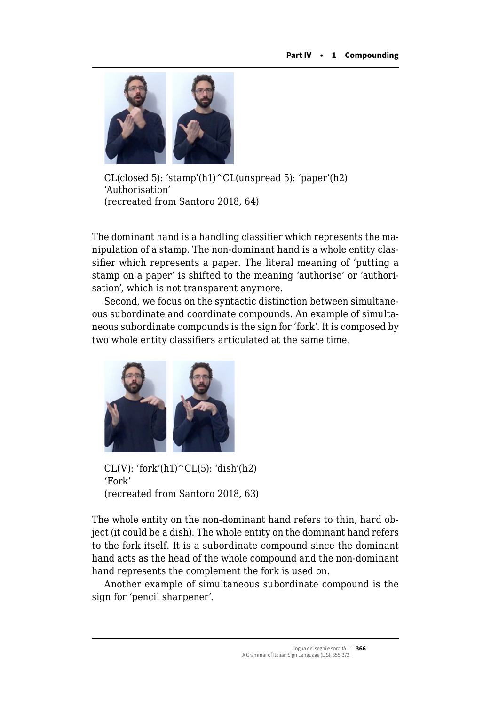

 $CL(closed 5)$ : 'stamp'(h1)  $CL(unspread 5)$ : 'paper'(h2) 'Authorisation' (recreated from Santoro 2018, 64)

The dominant hand is a handling classifier which represents the manipulation of a stamp. The non-dominant hand is a whole entity classifier which represents a paper. The literal meaning of 'putting a stamp on a paper' is shifted to the meaning 'authorise' or 'authorisation', which is not transparent anymore.

Second, we focus on the syntactic distinction between simultaneous subordinate and coordinate compounds. An example of simultaneous subordinate compounds is the sign for 'fork'. It is composed by two whole entity classifiers articulated at the same time.



CL(V): 'fork'(h1) $^{\circ}$ CL(5): 'dish'(h2) 'Fork' (recreated from Santoro 2018, 63)

The whole entity on the non-dominant hand refers to thin, hard object (it could be a dish). The whole entity on the dominant hand refers to the fork itself. It is a subordinate compound since the dominant hand acts as the head of the whole compound and the non-dominant hand represents the complement the fork is used on.

Another example of simultaneous subordinate compound is the sign for 'pencil sharpener'.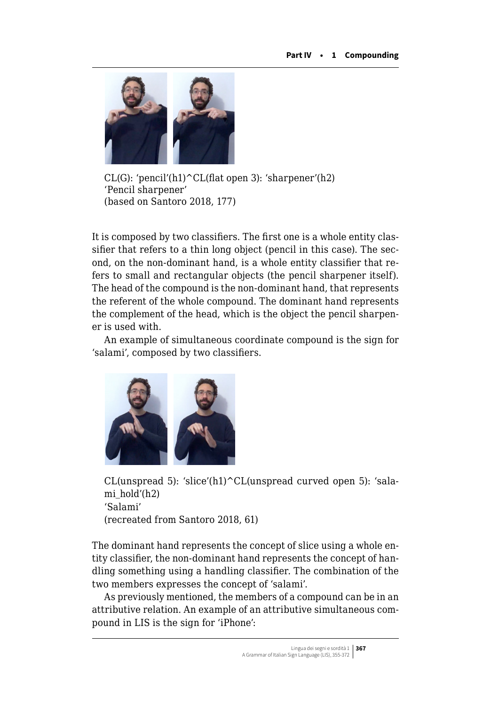

 $CL(G)$ : 'pencil'(h1) $\textdegree CL(flat\ open\ 3)$ : 'sharpener'(h2) 'Pencil sharpener' (based on Santoro 2018, 177)

It is composed by two classifiers. The first one is a whole entity classifier that refers to a thin long object (pencil in this case). The second, on the non-dominant hand, is a whole entity classifier that refers to small and rectangular objects (the pencil sharpener itself). The head of the compound is the non-dominant hand, that represents the referent of the whole compound. The dominant hand represents the complement of the head, which is the object the pencil sharpener is used with.

An example of simultaneous coordinate compound is the sign for 'salami', composed by two classifiers.



CL(unspread 5): 'slice'(h1)^CL(unspread curved open 5): 'salami\_hold'(h2) 'Salami' (recreated from Santoro 2018, 61)

The dominant hand represents the concept of slice using a whole entity classifier, the non-dominant hand represents the concept of handling something using a handling classifier. The combination of the two members expresses the concept of 'salami'.

As previously mentioned, the members of a compound can be in an attributive relation. An example of an attributive simultaneous compound in LIS is the sign for 'iPhone':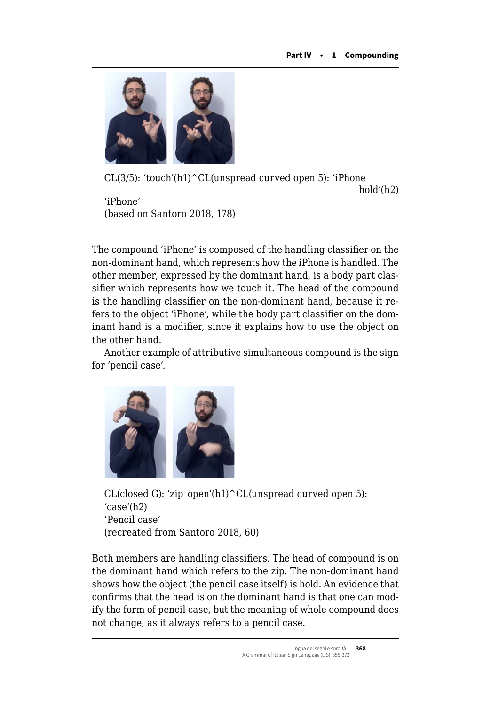

CL(3/5): 'touch'(h1) $\text{CL}$ (unspread curved open 5): 'iPhone

hold'(h2)

'iPhone' (based on Santoro 2018, 178)

The compound 'iPhone' is composed of the handling classifier on the non-dominant hand, which represents how the iPhone is handled. The other member, expressed by the dominant hand, is a body part classifier which represents how we touch it. The head of the compound is the handling classifier on the non-dominant hand, because it refers to the object 'iPhone', while the body part classifier on the dominant hand is a modifier, since it explains how to use the object on the other hand.

Another example of attributive simultaneous compound is the sign for 'pencil case'.



CL(closed G): 'zip\_open'(h1)^CL(unspread curved open 5): 'case'(h2) 'Pencil case' (recreated from Santoro 2018, 60)

Both members are handling classifiers. The head of compound is on the dominant hand which refers to the zip. The non-dominant hand shows how the object (the pencil case itself) is hold. An evidence that confirms that the head is on the dominant hand is that one can modify the form of pencil case, but the meaning of whole compound does not change, as it always refers to a pencil case.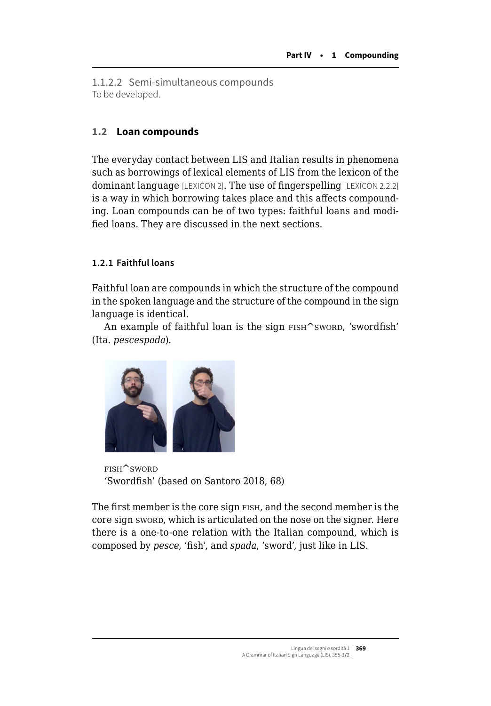<span id="page-14-0"></span>1.1.2.2 Semi-simultaneous compounds To be developed.

# **1.2 Loan compounds**

The everyday contact between LIS and Italian results in phenomena such as borrowings of lexical elements of LIS from the lexicon of the dominant language [LEXICON 2]. The use of fingerspelling [LEXICON 2.2.2] is a way in which borrowing takes place and this affects compounding. Loan compounds can be of two types: faithful loans and modified loans. They are discussed in the next sections.

# **1.2.1 Faithful loans**

Faithful loan are compounds in which the structure of the compound in the spoken language and the structure of the compound in the sign language is identical.

An example of faithful loan is the sign FISH^sword, 'swordfish' (Ita. *pescespada*).



fish^sword 'Swordfish' (based on Santoro 2018, 68)

The first member is the core sign FISH, and the second member is the core sign sword, which is articulated on the nose on the signer. Here there is a one-to-one relation with the Italian compound, which is composed by *pesce*, 'fish', and *spada*, 'sword', just like in LIS.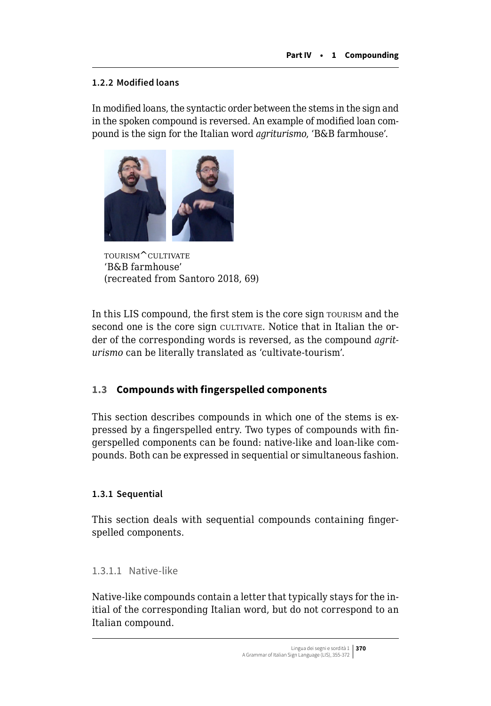# <span id="page-15-0"></span>**1.2.2 Modified loans**

In modified loans, the syntactic order between the stems in the sign and in the spoken compound is reversed. An example of modified loan compound is the sign for the Italian word *agriturismo*, 'B&B farmhouse'.



tourism^cultivate 'B&B farmhouse' (recreated from Santoro 2018, 69)

In this LIS compound, the first stem is the core sign TOURISM and the second one is the core sign cultivate. Notice that in Italian the order of the corresponding words is reversed, as the compound *agriturismo* can be literally translated as 'cultivate-tourism'.

# **1.3 Compounds with fingerspelled components**

This section describes compounds in which one of the stems is expressed by a fingerspelled entry. Two types of compounds with fingerspelled components can be found: native-like and loan-like compounds. Both can be expressed in sequential or simultaneous fashion.

# **1.3.1 Sequential**

This section deals with sequential compounds containing fingerspelled components.

# 1.3.1.1 Native-like

Native-like compounds contain a letter that typically stays for the initial of the corresponding Italian word, but do not correspond to an Italian compound.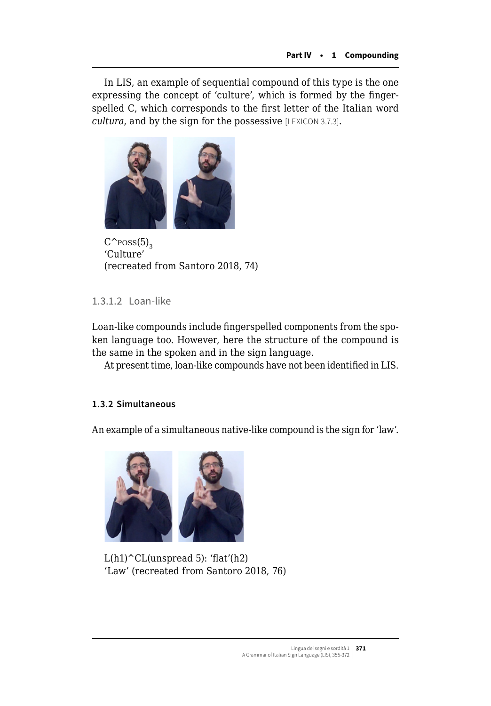In LIS, an example of sequential compound of this type is the one expressing the concept of 'culture', which is formed by the fingerspelled C, which corresponds to the first letter of the Italian word *cultura*, and by the sign for the possessive [LEXICON 3.7.3].



 $C^{\uparrow}$ poss $(5)$ <sub>3</sub> 'Culture' (recreated from Santoro 2018, 74)

# 1.3.1.2 Loan-like

Loan-like compounds include fingerspelled components from the spoken language too. However, here the structure of the compound is the same in the spoken and in the sign language.

At present time, loan-like compounds have not been identified in LIS.

# **1.3.2 Simultaneous**

An example of a simultaneous native-like compound is the sign for 'law'.



 $L(h1)^CCL$ (unspread 5): 'flat'(h2) 'Law' (recreated from Santoro 2018, 76)